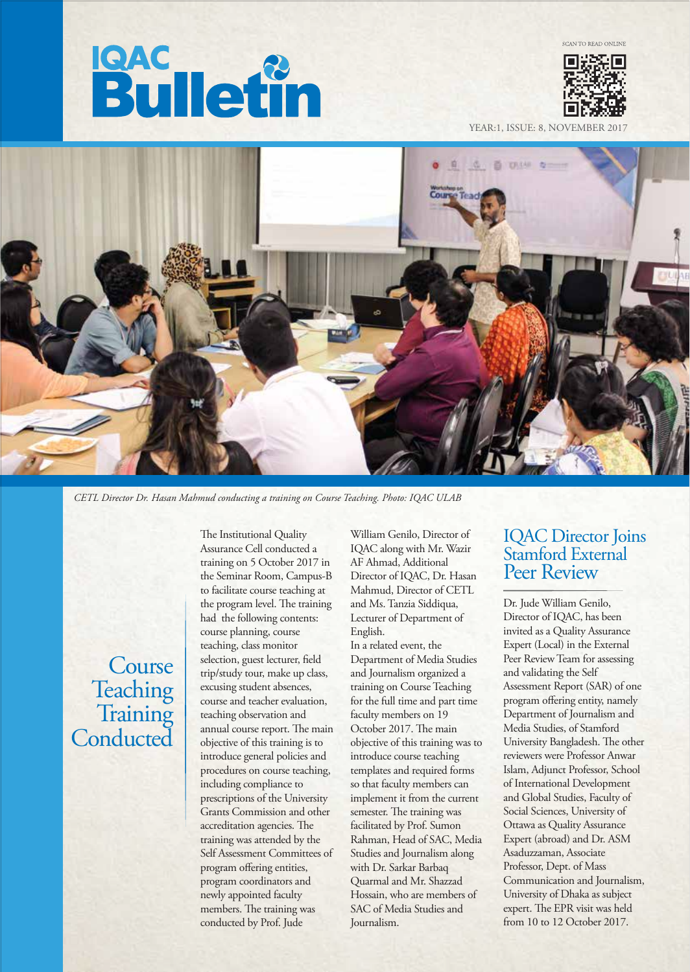# **Bulletin**



YEAR:1, ISSUE: 8, NOVEMBER



*CETL Director Dr. Hasan Mahmud conducting a training on Course Teaching. Photo: IQAC ULAB*

Course Teaching<br>Training Conducted

The Institutional Quality Assurance Cell conducted a training on 5 October 2017 in the Seminar Room, Campus-B to facilitate course teaching at the program level. The training had the following contents: course planning, course teaching, class monitor selection, guest lecturer, field trip/study tour, make up class, excusing student absences, course and teacher evaluation, teaching observation and annual course report. The main objective of this training is to introduce general policies and procedures on course teaching, including compliance to prescriptions of the University Grants Commission and other accreditation agencies. The training was attended by the Self Assessment Committees of program offering entities, program coordinators and newly appointed faculty members. The training was conducted by Prof. Jude

William Genilo, Director of IQAC along with Mr. Wazir AF Ahmad, Additional Director of IQAC, Dr. Hasan Mahmud, Director of CETL and Ms. Tanzia Siddiqua, Lecturer of Department of English.

In a related event, the Department of Media Studies and Journalism organized a training on Course Teaching for the full time and part time faculty members on 19 October 2017. The main objective of this training was to introduce course teaching templates and required forms so that faculty members can implement it from the current semester. The training was facilitated by Prof. Sumon Rahman, Head of SAC, Media Studies and Journalism along with Dr. Sarkar Barbaq Quarmal and Mr. Shazzad Hossain, who are members of SAC of Media Studies and Journalism.

#### IQAC Director Joins Stamford External Peer Review

Dr. Jude William Genilo, Director of IQAC, has been invited as a Quality Assurance Expert (Local) in the External Peer Review Team for assessing and validating the Self Assessment Report (SAR) of one program offering entity, namely Department of Journalism and Media Studies, of Stamford University Bangladesh. The other reviewers were Professor Anwar Islam, Adjunct Professor, School of International Development and Global Studies, Faculty of Social Sciences, University of Ottawa as Quality Assurance Expert (abroad) and Dr. ASM Asaduzzaman, Associate Professor, Dept. of Mass Communication and Journalism, University of Dhaka as subject expert. The EPR visit was held from 10 to 12 October 2017.